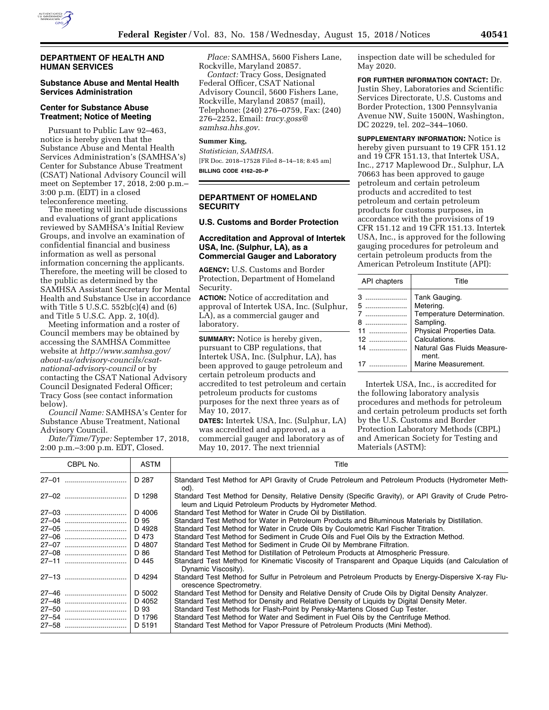

# **DEPARTMENT OF HEALTH AND HUMAN SERVICES**

# **Substance Abuse and Mental Health Services Administration**

#### **Center for Substance Abuse Treatment; Notice of Meeting**

Pursuant to Public Law 92–463, notice is hereby given that the Substance Abuse and Mental Health Services Administration's (SAMHSA's) Center for Substance Abuse Treatment (CSAT) National Advisory Council will meet on September 17, 2018, 2:00 p.m.– 3:00 p.m. (EDT) in a closed teleconference meeting.

The meeting will include discussions and evaluations of grant applications reviewed by SAMHSA's Initial Review Groups, and involve an examination of confidential financial and business information as well as personal information concerning the applicants. Therefore, the meeting will be closed to the public as determined by the SAMHSA Assistant Secretary for Mental Health and Substance Use in accordance with Title 5 U.S.C.  $552b(c)(4)$  and  $(6)$ and Title 5 U.S.C. App. 2, 10(d).

Meeting information and a roster of Council members may be obtained by accessing the SAMHSA Committee website at *[http://www.samhsa.gov/](http://www.samhsa.gov/about-us/advisory-councils/csat-national-advisory-council) [about-us/advisory-councils/csat](http://www.samhsa.gov/about-us/advisory-councils/csat-national-advisory-council)[national-advisory-council](http://www.samhsa.gov/about-us/advisory-councils/csat-national-advisory-council)* or by contacting the CSAT National Advisory Council Designated Federal Officer; Tracy Goss (see contact information below).

*Council Name:* SAMHSA's Center for Substance Abuse Treatment, National Advisory Council.

*Date/Time/Type:* September 17, 2018, 2:00 p.m.–3:00 p.m. EDT, Closed.

*Place:* SAMHSA, 5600 Fishers Lane, Rockville, Maryland 20857. *Contact:* Tracy Goss, Designated Federal Officer, CSAT National Advisory Council, 5600 Fishers Lane, Rockville, Maryland 20857 (mail), Telephone: (240) 276–0759, Fax: (240) 276–2252, Email: *[tracy.goss@](mailto:tracy.goss@samhsa.hhs.gov) [samhsa.hhs.gov](mailto:tracy.goss@samhsa.hhs.gov)*.

### **Summer King,**

*Statistician, SAMHSA.*  [FR Doc. 2018–17528 Filed 8–14–18; 8:45 am] **BILLING CODE 4162–20–P** 

# **DEPARTMENT OF HOMELAND SECURITY**

# **U.S. Customs and Border Protection**

### **Accreditation and Approval of Intertek USA, Inc. (Sulphur, LA), as a Commercial Gauger and Laboratory**

**AGENCY:** U.S. Customs and Border Protection, Department of Homeland Security.

**ACTION:** Notice of accreditation and approval of Intertek USA, Inc. (Sulphur, LA), as a commercial gauger and laboratory.

**SUMMARY:** Notice is hereby given, pursuant to CBP regulations, that Intertek USA, Inc. (Sulphur, LA), has been approved to gauge petroleum and certain petroleum products and accredited to test petroleum and certain petroleum products for customs purposes for the next three years as of May 10, 2017.

**DATES:** Intertek USA, Inc. (Sulphur, LA) was accredited and approved, as a commercial gauger and laboratory as of May 10, 2017. The next triennial

inspection date will be scheduled for May 2020.

**FOR FURTHER INFORMATION CONTACT:** Dr. Justin Shey, Laboratories and Scientific Services Directorate, U.S. Customs and Border Protection, 1300 Pennsylvania Avenue NW, Suite 1500N, Washington, DC 20229, tel. 202–344–1060.

**SUPPLEMENTARY INFORMATION:** Notice is hereby given pursuant to 19 CFR 151.12 and 19 CFR 151.13, that Intertek USA, Inc., 2717 Maplewood Dr., Sulphur, LA 70663 has been approved to gauge petroleum and certain petroleum products and accredited to test petroleum and certain petroleum products for customs purposes, in accordance with the provisions of 19 CFR 151.12 and 19 CFR 151.13. Intertek USA, Inc., is approved for the following gauging procedures for petroleum and certain petroleum products from the American Petroleum Institute (API):

| API chapters   | Title                                                                                                                                                                              |
|----------------|------------------------------------------------------------------------------------------------------------------------------------------------------------------------------------|
| 5<br>8<br>$12$ | Tank Gauging.<br>Metering.<br>Temperature Determination.<br>Sampling.<br>Physical Properties Data.<br>Calculations.<br>Natural Gas Fluids Measure-<br>ment.<br>Marine Measurement. |

Intertek USA, Inc., is accredited for the following laboratory analysis procedures and methods for petroleum and certain petroleum products set forth by the U.S. Customs and Border Protection Laboratory Methods (CBPL) and American Society for Testing and Materials (ASTM):

| CBPL No. | ASTM   | Title                                                                                                                                                             |
|----------|--------|-------------------------------------------------------------------------------------------------------------------------------------------------------------------|
|          | D 287  | Standard Test Method for API Gravity of Crude Petroleum and Petroleum Products (Hydrometer Meth-<br>od).                                                          |
| 27-02    | D 1298 | Standard Test Method for Density, Relative Density (Specific Gravity), or API Gravity of Crude Petro-<br>leum and Liquid Petroleum Products by Hydrometer Method. |
| 27-03    | D 4006 | Standard Test Method for Water in Crude Oil by Distillation.                                                                                                      |
| 27-04    | D 95   | Standard Test Method for Water in Petroleum Products and Bituminous Materials by Distillation.                                                                    |
| 27-05    | D 4928 | Standard Test Method for Water in Crude Oils by Coulometric Karl Fischer Titration.                                                                               |
|          | D 473  | Standard Test Method for Sediment in Crude Oils and Fuel Oils by the Extraction Method.                                                                           |
|          | D 4807 | Standard Test Method for Sediment in Crude Oil by Membrane Filtration.                                                                                            |
| 27-08    | D 86   | Standard Test Method for Distillation of Petroleum Products at Atmospheric Pressure.                                                                              |
| 27-11    | D 445  | Standard Test Method for Kinematic Viscosity of Transparent and Opaque Liquids (and Calculation of<br>Dynamic Viscosity).                                         |
| 27–13    | D 4294 | Standard Test Method for Sulfur in Petroleum and Petroleum Products by Energy-Dispersive X-ray Flu-<br>orescence Spectrometry.                                    |
| 27-46    | D 5002 | Standard Test Method for Density and Relative Density of Crude Oils by Digital Density Analyzer.                                                                  |
| 27-48    | D 4052 | Standard Test Method for Density and Relative Density of Liquids by Digital Density Meter.                                                                        |
|          | D 93   | Standard Test Methods for Flash-Point by Pensky-Martens Closed Cup Tester.                                                                                        |
|          | D 1796 | Standard Test Method for Water and Sediment in Fuel Oils by the Centrifuge Method.                                                                                |
| 27-58    | D 5191 | Standard Test Method for Vapor Pressure of Petroleum Products (Mini Method).                                                                                      |